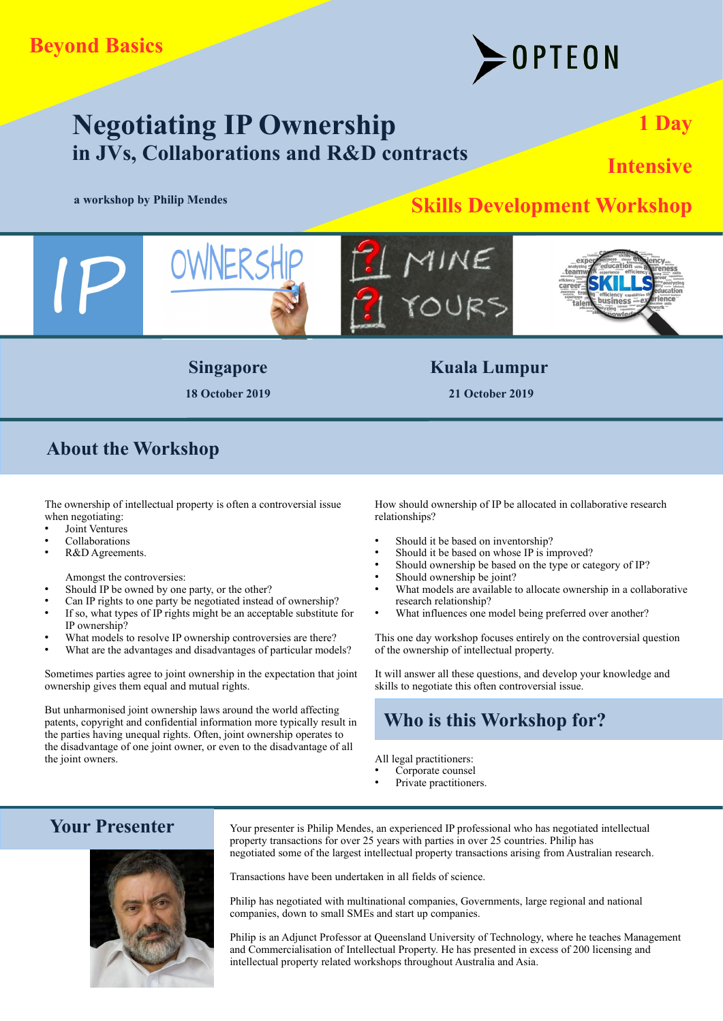# OPTEON

# **Negotiating IP Ownership in JVs, Collaborations and R&D contracts**

# **Skills Development Workshop** by Philip Mendes

**1 Day**

**Intensive**



**18 October 2019 21 October 2019**

**Singapore Kuala Lumpur** 

# **About the Workshop**

The ownership of intellectual property is often a controversial issue when negotiating:

- Joint Ventures
- **Collaborations**
- R&D Agreements.

Amongst the controversies:

- Should IP be owned by one party, or the other?
- Can IP rights to one party be negotiated instead of ownership?
- If so, what types of IP rights might be an acceptable substitute for IP ownership?
- What models to resolve IP ownership controversies are there?
- What are the advantages and disadvantages of particular models?

Sometimes parties agree to joint ownership in the expectation that joint ownership gives them equal and mutual rights.

But unharmonised joint ownership laws around the world affecting patents, copyright and confidential information more typically result in the parties having unequal rights. Often, joint ownership operates to the disadvantage of one joint owner, or even to the disadvantage of all the joint owners.

How should ownership of IP be allocated in collaborative research relationships?

- Should it be based on inventorship?
- Should it be based on whose IP is improved?
- Should ownership be based on the type or category of IP?
- Should ownership be joint?
- What models are available to allocate ownership in a collaborative research relationship?
- What influences one model being preferred over another?

This one day workshop focuses entirely on the controversial question of the ownership of intellectual property.

It will answer all these questions, and develop your knowledge and skills to negotiate this often controversial issue.

# **Who is this Workshop for?**

All legal practitioners:

- Corporate counsel
- Private practitioners.

# **Your Presenter**



Your presenter is Philip Mendes, an experienced IP professional who has negotiated intellectual property transactions for over 25 years with parties in over 25 countries. Philip has negotiated some of the largest intellectual property transactions arising from Australian research.

Transactions have been undertaken in all fields of science.

Philip has negotiated with multinational companies, Governments, large regional and national companies, down to small SMEs and start up companies.

Philip is an Adjunct Professor at Queensland University of Technology, where he teaches Management and Commercialisation of Intellectual Property. He has presented in excess of 200 licensing and intellectual property related workshops throughout Australia and Asia.